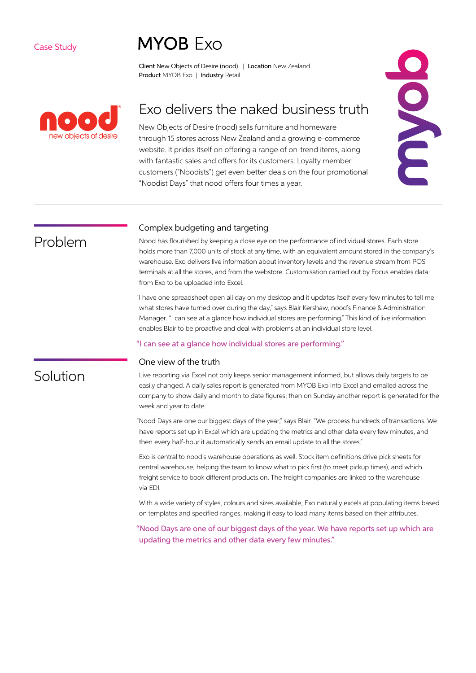#### Case Study

# **MYOR Exo**

Client New Objects of Desire (nood) | Location New Zealand Product MYOB Exo | Industry Retail



# Exo delivers the naked business truth

New Objects of Desire (nood) sells furniture and homeware through 15 stores across New Zealand and a growing e-commerce website. It prides itself on offering a range of on-trend items, along with fantastic sales and offers for its customers. Loyalty member customers ("Noodists") get even better deals on the four promotional "Noodist Days" that nood offers four times a year.



### Problem

Solution

### Complex budgeting and targeting

Nood has flourished by keeping a close eye on the performance of individual stores. Each store holds more than 7,000 units of stock at any time, with an equivalent amount stored in the company's warehouse. Exo delivers live information about inventory levels and the revenue stream from POS terminals at all the stores, and from the webstore. Customisation carried out by Focus enables data from Exo to be uploaded into Excel.

"I have one spreadsheet open all day on my desktop and it updates itself every few minutes to tell me what stores have turned over during the day," says Blair Kershaw, nood's Finance & Administration Manager. "I can see at a glance how individual stores are performing." This kind of live information enables Blair to be proactive and deal with problems at an individual store level.

#### "I can see at a glance how individual stores are performing."

#### One view of the truth

Live reporting via Excel not only keeps senior management informed, but allows daily targets to be easily changed. A daily sales report is generated from MYOB Exo into Excel and emailed across the company to show daily and month to date figures; then on Sunday another report is generated for the week and year to date.

"Nood Days are one our biggest days of the year," says Blair. "We process hundreds of transactions. We have reports set up in Excel which are updating the metrics and other data every few minutes, and then every half-hour it automatically sends an email update to all the stores."

Exo is central to nood's warehouse operations as well. Stock item definitions drive pick sheets for central warehouse, helping the team to know what to pick first (to meet pickup times), and which freight service to book different products on. The freight companies are linked to the warehouse via EDI.

With a wide variety of styles, colours and sizes available, Exo naturally excels at populating items based on templates and specified ranges, making it easy to load many items based on their attributes.

"Nood Days are one of our biggest days of the year. We have reports set up which are updating the metrics and other data every few minutes."